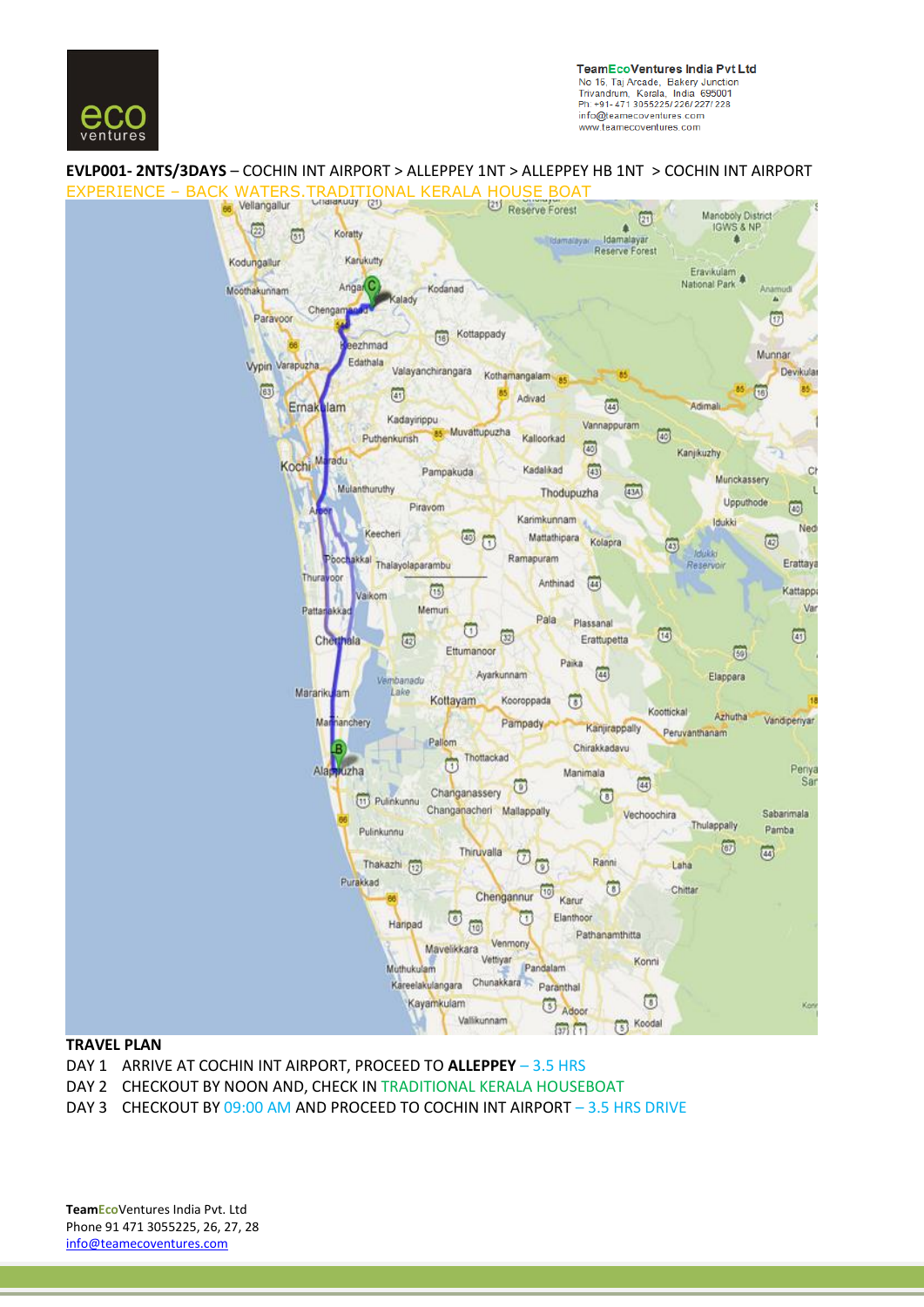

**TeamEcoVentures India Pvt Ltd** No 16, Taj Arcade, Bakery Junction<br>Trivandrum, Kerala, India 695001 Ph: +91-471 3055225/226/227/228 info@teamecoventures.com www.teamecoventures.com

# **EVLP001- 2NTS/3DAYS** – COCHIN INT AIRPORT > ALLEPPEY 1NT > ALLEPPEY HB 1NT > COCHIN INT AIRPORT



#### **TRAVEL PLAN**

- DAY 1 ARRIVE AT COCHIN INT AIRPORT, PROCEED TO **ALLEPPEY** 3.5 HRS
- DAY 2 CHECKOUT BY NOON AND, CHECK IN TRADITIONAL KERALA HOUSEBOAT
- DAY 3 CHECKOUT BY 09:00 AM AND PROCEED TO COCHIN INT AIRPORT 3.5 HRS DRIVE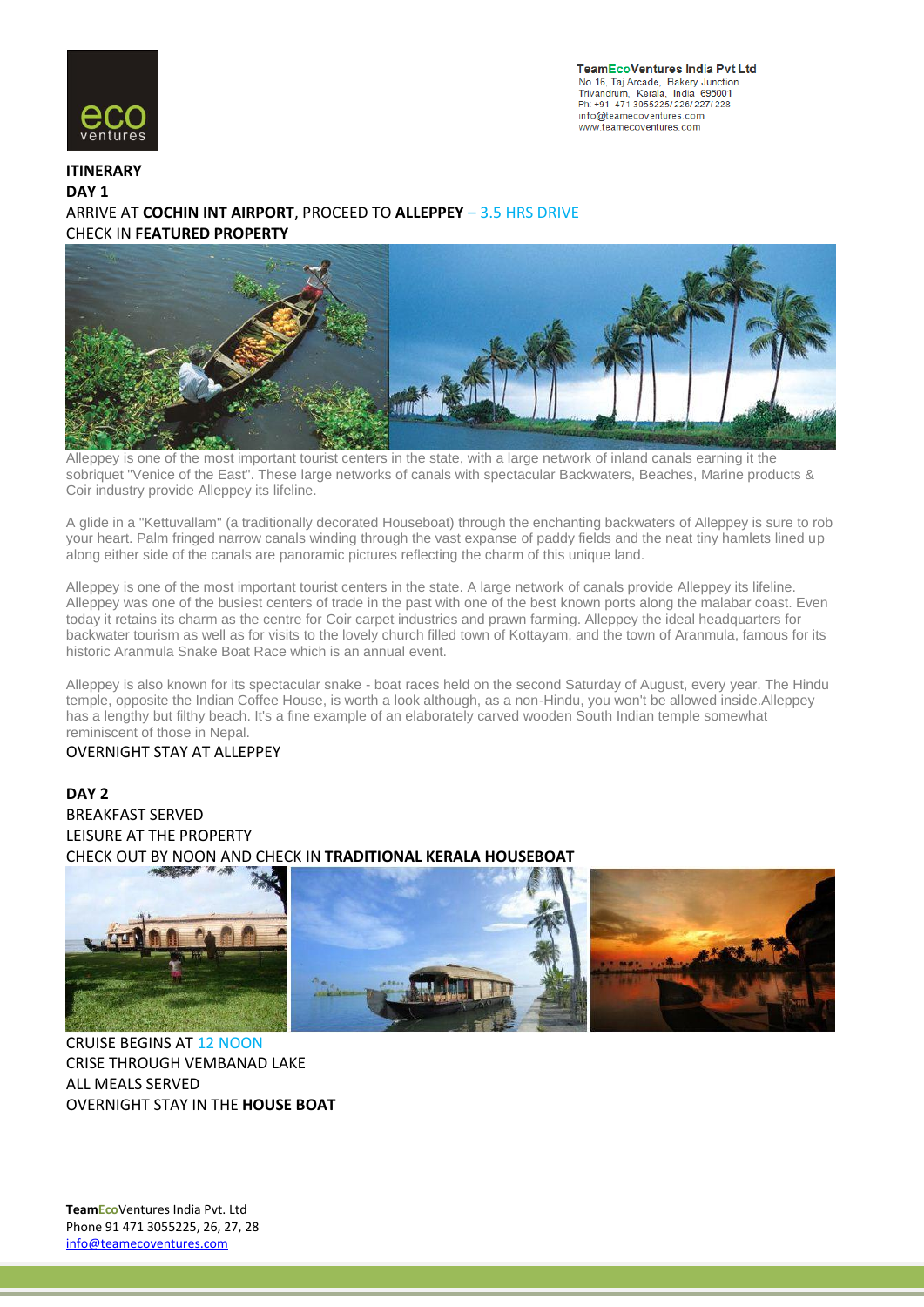

**TeamEcoVentures India Pvt Ltd** No 16, Taj Arcade, Bakery Junction<br>Trivandrum, Kerala, India 695001 Ph: +91-471 3055225/226/227/228 info@teamecoventures.com www.teamecoventures.com

## **ITINERARY DAY 1** ARRIVE AT **COCHIN INT AIRPORT**, PROCEED TO **ALLEPPEY** – 3.5 HRS DRIVE CHECK IN **FEATURED PROPERTY**



Alleppey is one of the most important tourist centers in the state, with a large network of inland canals earning it the sobriquet "Venice of the East". These large networks of canals with spectacular Backwaters, Beaches, Marine products & Coir industry provide Alleppey its lifeline.

A glide in a "Kettuvallam" (a traditionally decorated Houseboat) through the enchanting backwaters of Alleppey is sure to rob your heart. Palm fringed narrow canals winding through the vast expanse of paddy fields and the neat tiny hamlets lined up along either side of the canals are panoramic pictures reflecting the charm of this unique land.

Alleppey is one of the most important tourist centers in the state. A large network of canals provide Alleppey its lifeline. Alleppey was one of the busiest centers of trade in the past with one of the best known ports along the malabar coast. Even today it retains its charm as the centre for Coir carpet industries and prawn farming. Alleppey the ideal headquarters for backwater tourism as well as for visits to the lovely church filled town of Kottayam, and the town of Aranmula, famous for its historic Aranmula Snake Boat Race which is an annual event.

Alleppey is also known for its spectacular snake - boat races held on the second Saturday of August, every year. The Hindu temple, opposite the Indian Coffee House, is worth a look although, as a non-Hindu, you won't be allowed inside.Alleppey has a lengthy but filthy beach. It's a fine example of an elaborately carved wooden South Indian temple somewhat reminiscent of those in Nepal.

#### OVERNIGHT STAY AT ALLEPPEY

# **DAY 2** BREAKFAST SERVED LEISURE AT THE PROPERTY CHECK OUT BY NOON AND CHECK IN **TRADITIONAL KERALA HOUSEBOAT**



CRUISE BEGINS AT 12 NOON CRISE THROUGH VEMBANAD LAKE ALL MEALS SERVED OVERNIGHT STAY IN THE **HOUSE BOAT**